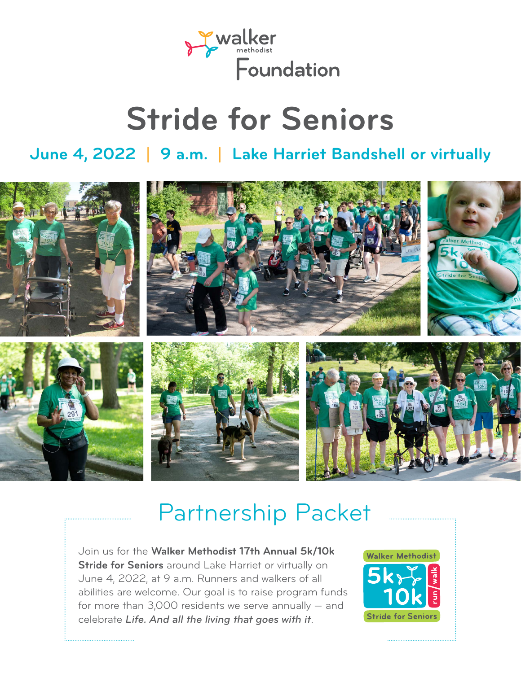

# **Stride for Seniors**

**June 4, 2022 | 9 a.m. | Lake Harriet Bandshell or virtually**



## Partnership Packet

Join us for the **Walker Methodist 17th Annual 5k/10k Stride for Seniors** around Lake Harriet or virtually on June 4, 2022, at 9 a.m. Runners and walkers of all abilities are welcome. Our goal is to raise program funds for more than 3,000 residents we serve annually — and celebrate *Life. And all the living that goes with it*.

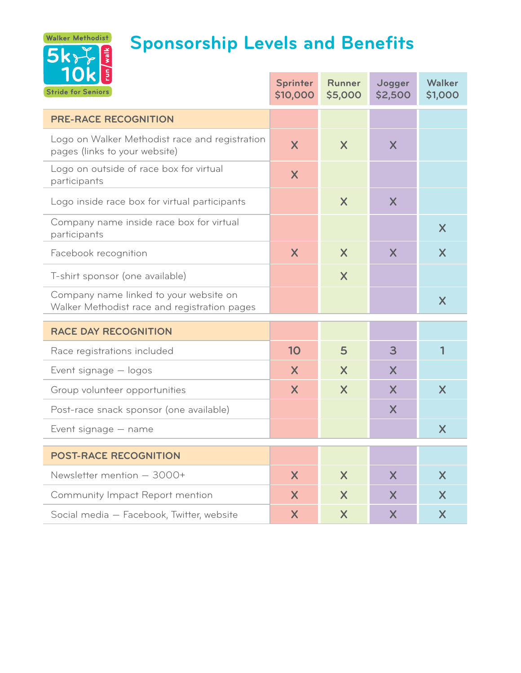

### **Sponsorship Levels and Benefits**

| <b>IUKIE</b><br><b>Stride for Seniors</b>                                              | <b>Sprinter</b><br>\$10,000 | <b>Runner</b><br>\$5,000  | Jogger<br>\$2,500         | Walker<br>\$1,000         |
|----------------------------------------------------------------------------------------|-----------------------------|---------------------------|---------------------------|---------------------------|
| <b>PRE-RACE RECOGNITION</b>                                                            |                             |                           |                           |                           |
| Logo on Walker Methodist race and registration<br>pages (links to your website)        | $\boldsymbol{\mathsf{X}}$   | X                         | $\boldsymbol{\mathsf{X}}$ |                           |
| Logo on outside of race box for virtual<br>participants                                | $\boldsymbol{\mathsf{X}}$   |                           |                           |                           |
| Logo inside race box for virtual participants                                          |                             | X                         | X                         |                           |
| Company name inside race box for virtual<br>participants                               |                             |                           |                           | X                         |
| Facebook recognition                                                                   | $\boldsymbol{\mathsf{X}}$   | X                         | X                         | X                         |
| T-shirt sponsor (one available)                                                        |                             | $\boldsymbol{\mathsf{X}}$ |                           |                           |
| Company name linked to your website on<br>Walker Methodist race and registration pages |                             |                           |                           | $\boldsymbol{\mathsf{X}}$ |
| <b>RACE DAY RECOGNITION</b>                                                            |                             |                           |                           |                           |
| Race registrations included                                                            | 10                          | 5                         | 3                         | 1                         |
| Event signage - logos                                                                  | $\boldsymbol{\mathsf{X}}$   | X                         | X                         |                           |
| Group volunteer opportunities                                                          | $\boldsymbol{\mathsf{X}}$   | $\boldsymbol{\mathsf{X}}$ | $\boldsymbol{\mathsf{X}}$ | $\boldsymbol{\mathsf{X}}$ |
| Post-race snack sponsor (one available)                                                |                             |                           | $\boldsymbol{\mathsf{X}}$ |                           |
| Event signage - name                                                                   |                             |                           |                           | X                         |
| POST-RACE RECOGNITION                                                                  |                             |                           |                           |                           |
| Newsletter mention - 3000+                                                             | $\boldsymbol{\mathsf{X}}$   | X                         | $\boldsymbol{\mathsf{X}}$ | $\boldsymbol{\mathsf{X}}$ |
| Community Impact Report mention                                                        | $\boldsymbol{\mathsf{X}}$   | X                         | X                         | X                         |
| Social media - Facebook, Twitter, website                                              | X                           | X                         | X                         | X                         |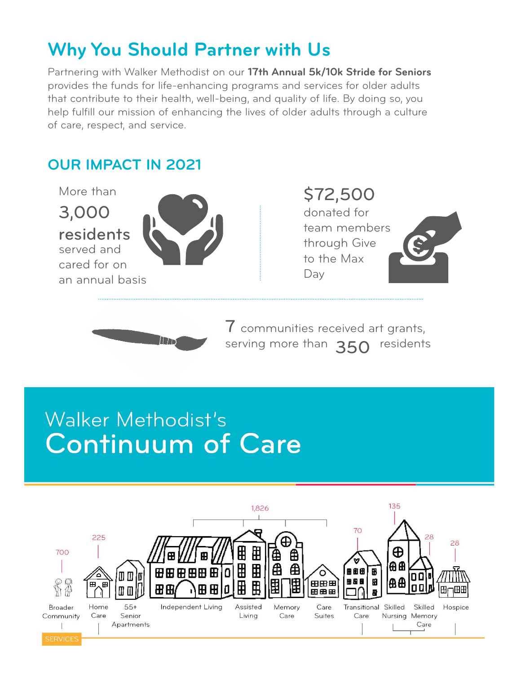#### **Why You Should Partner with Us**

Partnering with Walker Methodist on our **17th Annual 5k/10k Stride for Seniors** provides the funds for life-enhancing programs and services for older adults that contribute to their health, well-being, and quality of life. By doing so, you help fulfill our mission of enhancing the lives of older adults through a culture of care, respect, and service.

#### **OUR IMPACT IN 2021**

More than 3,000 residents served and cared for on an annual basis



\$72,500 donated for team members through Give to the Max Day





 $7$  communities received art grants, serving more than 350 residents

# **Walker Methodist's Continuum of Care**